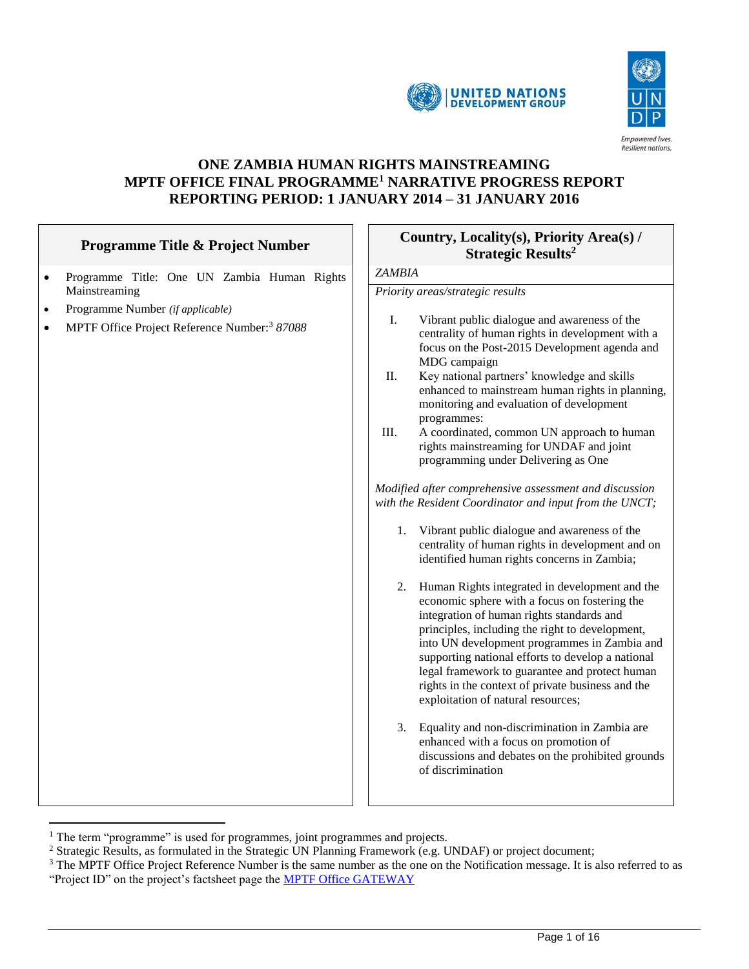



# **ONE ZAMBIA HUMAN RIGHTS MAINSTREAMING MPTF OFFICE FINAL PROGRAMME<sup>1</sup> NARRATIVE PROGRESS REPORT REPORTING PERIOD: 1 JANUARY 2014 – 31 JANUARY 2016**

| <b>Programme Title &amp; Project Number</b>                                                                    | Country, Locality(s), Priority Area(s) /<br><b>Strategic Results<sup>2</sup></b>                                                                                                                                                                                                                                                                                                                                                                                                                                                                                                                                                                                                                                                                                                                                                                                                                                                                                                                                                                                                                                                                                                                                                                                                                                              |  |  |
|----------------------------------------------------------------------------------------------------------------|-------------------------------------------------------------------------------------------------------------------------------------------------------------------------------------------------------------------------------------------------------------------------------------------------------------------------------------------------------------------------------------------------------------------------------------------------------------------------------------------------------------------------------------------------------------------------------------------------------------------------------------------------------------------------------------------------------------------------------------------------------------------------------------------------------------------------------------------------------------------------------------------------------------------------------------------------------------------------------------------------------------------------------------------------------------------------------------------------------------------------------------------------------------------------------------------------------------------------------------------------------------------------------------------------------------------------------|--|--|
| Programme Title: One UN Zambia Human Rights<br>$\bullet$                                                       | <b>ZAMBIA</b>                                                                                                                                                                                                                                                                                                                                                                                                                                                                                                                                                                                                                                                                                                                                                                                                                                                                                                                                                                                                                                                                                                                                                                                                                                                                                                                 |  |  |
| Mainstreaming                                                                                                  | Priority areas/strategic results                                                                                                                                                                                                                                                                                                                                                                                                                                                                                                                                                                                                                                                                                                                                                                                                                                                                                                                                                                                                                                                                                                                                                                                                                                                                                              |  |  |
| Programme Number (if applicable)<br>$\bullet$<br>MPTF Office Project Reference Number: <sup>3</sup> 87088<br>٠ | I.<br>Vibrant public dialogue and awareness of the<br>centrality of human rights in development with a<br>focus on the Post-2015 Development agenda and<br>MDG campaign<br>Key national partners' knowledge and skills<br>II.<br>enhanced to mainstream human rights in planning,<br>monitoring and evaluation of development<br>programmes:<br>III.<br>A coordinated, common UN approach to human<br>rights mainstreaming for UNDAF and joint<br>programming under Delivering as One<br>Modified after comprehensive assessment and discussion<br>with the Resident Coordinator and input from the UNCT;<br>1.<br>Vibrant public dialogue and awareness of the<br>centrality of human rights in development and on<br>identified human rights concerns in Zambia;<br>2.<br>Human Rights integrated in development and the<br>economic sphere with a focus on fostering the<br>integration of human rights standards and<br>principles, including the right to development,<br>into UN development programmes in Zambia and<br>supporting national efforts to develop a national<br>legal framework to guarantee and protect human<br>rights in the context of private business and the<br>exploitation of natural resources;<br>3.<br>Equality and non-discrimination in Zambia are<br>enhanced with a focus on promotion of |  |  |
|                                                                                                                | discussions and debates on the prohibited grounds<br>of discrimination                                                                                                                                                                                                                                                                                                                                                                                                                                                                                                                                                                                                                                                                                                                                                                                                                                                                                                                                                                                                                                                                                                                                                                                                                                                        |  |  |

<sup>&</sup>lt;sup>1</sup> The term "programme" is used for programmes, joint programmes and projects.

 $\overline{a}$ 

 $\Box$ 

<sup>&</sup>lt;sup>2</sup> Strategic Results, as formulated in the Strategic UN Planning Framework (e.g. UNDAF) or project document;

<sup>&</sup>lt;sup>3</sup> The MPTF Office Project Reference Number is the same number as the one on the Notification message. It is also referred to as "Project ID" on the project's factsheet page the **MPTF Office GATEWAY**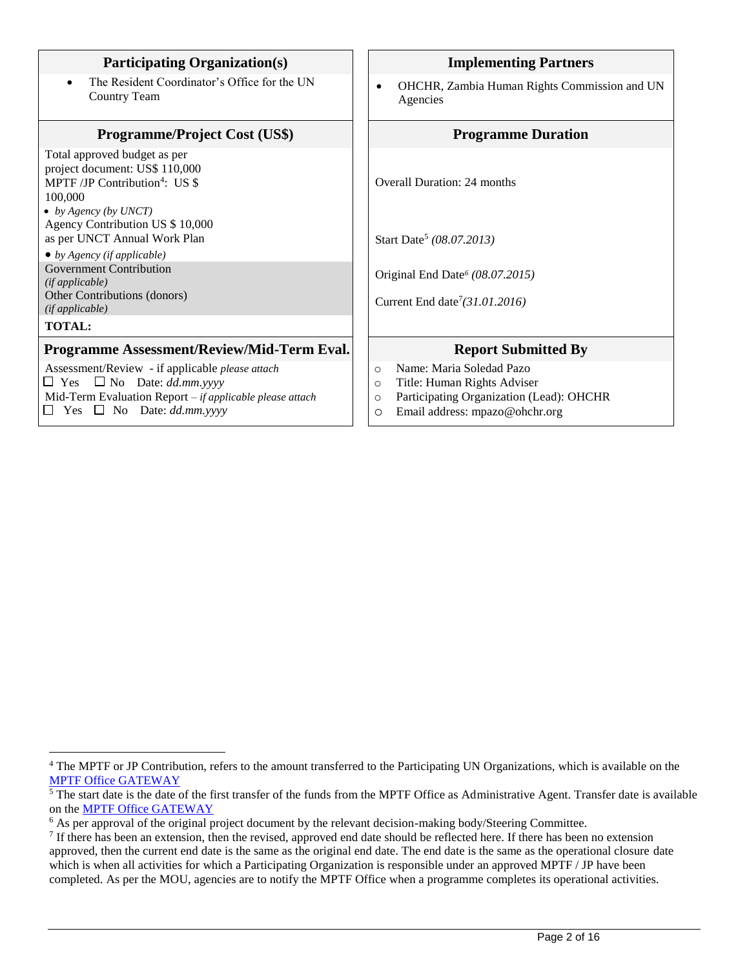| <b>Participating Organization(s)</b>                                                                                                                                                                                                                                                                                                                             | <b>Implementing Partners</b>                                                                                                                                                      |  |
|------------------------------------------------------------------------------------------------------------------------------------------------------------------------------------------------------------------------------------------------------------------------------------------------------------------------------------------------------------------|-----------------------------------------------------------------------------------------------------------------------------------------------------------------------------------|--|
| The Resident Coordinator's Office for the UN<br><b>Country Team</b>                                                                                                                                                                                                                                                                                              | OHCHR, Zambia Human Rights Commission and UN<br>٠<br>Agencies                                                                                                                     |  |
| <b>Programme/Project Cost (US\$)</b>                                                                                                                                                                                                                                                                                                                             | <b>Programme Duration</b>                                                                                                                                                         |  |
| Total approved budget as per<br>project document: US\$ 110,000<br>MPTF/JP Contribution <sup>4</sup> : US \$<br>100,000<br>• by Agency (by UNCT)<br>Agency Contribution US \$ 10,000<br>as per UNCT Annual Work Plan<br>$\bullet$ by Agency (if applicable)<br><b>Government Contribution</b><br>(ifappliedble)<br>Other Contributions (donors)<br>(ifappliedble) | <b>Overall Duration: 24 months</b><br>Start Date <sup>5</sup> (08.07.2013)<br>Original End Date <sup>6</sup> (08.07.2015)<br>Current End date <sup>7</sup> $(31.01.2016)$         |  |
| <b>TOTAL:</b>                                                                                                                                                                                                                                                                                                                                                    |                                                                                                                                                                                   |  |
| Programme Assessment/Review/Mid-Term Eval.                                                                                                                                                                                                                                                                                                                       | <b>Report Submitted By</b>                                                                                                                                                        |  |
| Assessment/Review - if applicable please attach<br>$\Box$ Yes $\Box$ No Date: dd.mm.yyyy<br>Mid-Term Evaluation Report – if applicable please attach<br>$\Box$ Yes $\Box$ No Date: dd.mm.yyyy                                                                                                                                                                    | Name: Maria Soledad Pazo<br>$\circ$<br>Title: Human Rights Adviser<br>$\circ$<br>Participating Organization (Lead): OHCHR<br>$\circ$<br>Email address: mpazo@ohchr.org<br>$\circ$ |  |

 $\overline{a}$ 

<sup>&</sup>lt;sup>4</sup> The MPTF or JP Contribution, refers to the amount transferred to the Participating UN Organizations, which is available on the [MPTF Office GATEWAY](http://mdtf.undp.org/)

 $\overline{5}$  The start date is the date of the first transfer of the funds from the MPTF Office as Administrative Agent. Transfer date is available on the [MPTF Office GATEWAY](http://mdtf.undp.org/)

<sup>&</sup>lt;sup>6</sup> As per approval of the original project document by the relevant decision-making body/Steering Committee.

 $<sup>7</sup>$  If there has been an extension, then the revised, approved end date should be reflected here. If there has been no extension</sup> approved, then the current end date is the same as the original end date. The end date is the same as the operational closure date which is when all activities for which a Participating Organization is responsible under an approved MPTF / JP have been completed. As per the MOU, agencies are to notify the MPTF Office when a programme completes its operational activities.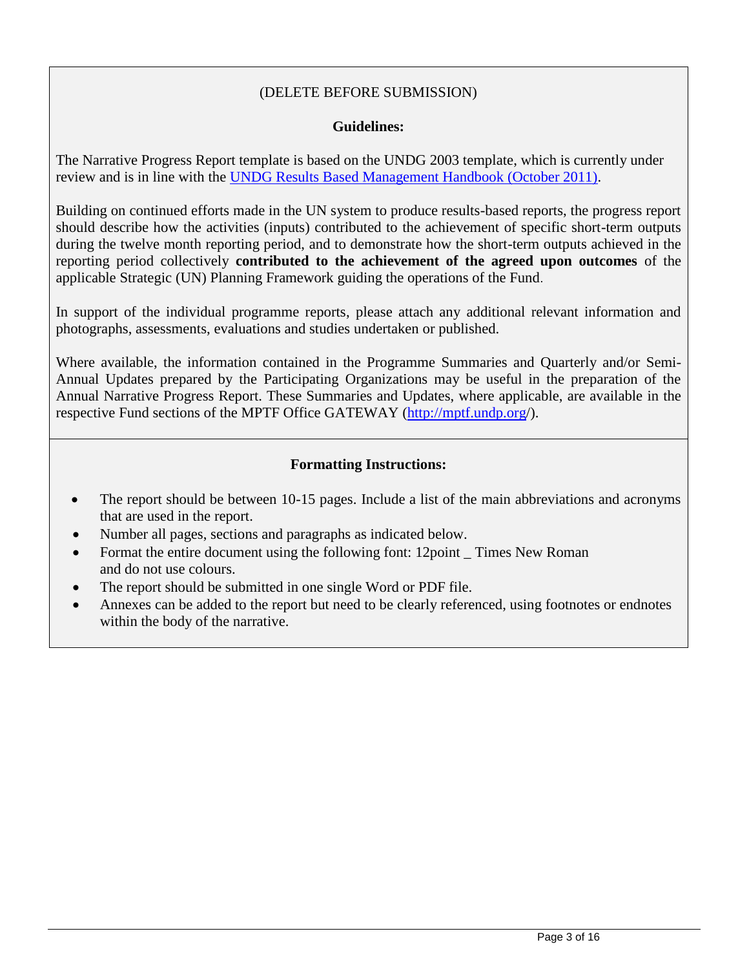# (DELETE BEFORE SUBMISSION)

#### **Guidelines:**

The Narrative Progress Report template is based on the UNDG 2003 template, which is currently under review and is in line with the [UNDG Results Based Management Handbook \(October 2011\).](file:///E:/AppData/Local/Microsoft/Windows/Temporary%20Internet%20Files/Content.Outlook/AppData/Local/Microsoft/Windows/Temporary%20Internet%20Files/Content.Outlook/EPG6TJ9O/):%20%20http:/www.undg.org/docs/12316/UNDG-RBM%20Handbook-2012.pdf)

Building on continued efforts made in the UN system to produce results-based reports, the progress report should describe how the activities (inputs) contributed to the achievement of specific short-term outputs during the twelve month reporting period, and to demonstrate how the short-term outputs achieved in the reporting period collectively **contributed to the achievement of the agreed upon outcomes** of the applicable Strategic (UN) Planning Framework guiding the operations of the Fund.

In support of the individual programme reports, please attach any additional relevant information and photographs, assessments, evaluations and studies undertaken or published.

Where available, the information contained in the Programme Summaries and Quarterly and/or Semi-Annual Updates prepared by the Participating Organizations may be useful in the preparation of the Annual Narrative Progress Report. These Summaries and Updates, where applicable, are available in the respective Fund sections of the MPTF Office GATEWAY [\(http://mptf.undp.org/](http://mptf.undp.org/)).

#### **Formatting Instructions:**

- The report should be between 10-15 pages. Include a list of the main abbreviations and acronyms that are used in the report.
- Number all pages, sections and paragraphs as indicated below.
- Format the entire document using the following font: 12point Times New Roman and do not use colours.
- The report should be submitted in one single Word or PDF file.
- Annexes can be added to the report but need to be clearly referenced, using footnotes or endnotes within the body of the narrative.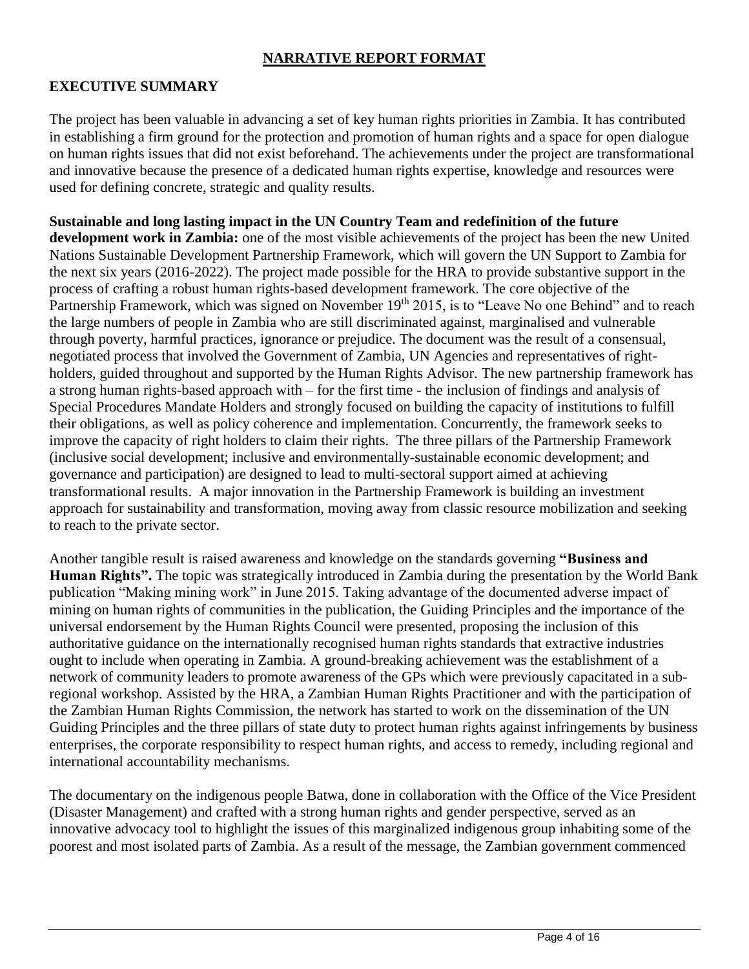#### **NARRATIVE REPORT FORMAT**

# **EXECUTIVE SUMMARY**

The project has been valuable in advancing a set of key human rights priorities in Zambia. It has contributed in establishing a firm ground for the protection and promotion of human rights and a space for open dialogue on human rights issues that did not exist beforehand. The achievements under the project are transformational and innovative because the presence of a dedicated human rights expertise, knowledge and resources were used for defining concrete, strategic and quality results.

**Sustainable and long lasting impact in the UN Country Team and redefinition of the future development work in Zambia:** one of the most visible achievements of the project has been the new United Nations Sustainable Development Partnership Framework, which will govern the UN Support to Zambia for the next six years (2016-2022). The project made possible for the HRA to provide substantive support in the process of crafting a robust human rights-based development framework. The core objective of the Partnership Framework, which was signed on November  $19<sup>th</sup> 2015$ , is to "Leave No one Behind" and to reach the large numbers of people in Zambia who are still discriminated against, marginalised and vulnerable through poverty, harmful practices, ignorance or prejudice. The document was the result of a consensual, negotiated process that involved the Government of Zambia, UN Agencies and representatives of rightholders, guided throughout and supported by the Human Rights Advisor. The new partnership framework has a strong human rights-based approach with – for the first time - the inclusion of findings and analysis of Special Procedures Mandate Holders and strongly focused on building the capacity of institutions to fulfill their obligations, as well as policy coherence and implementation. Concurrently, the framework seeks to improve the capacity of right holders to claim their rights. The three pillars of the Partnership Framework (inclusive social development; inclusive and environmentally-sustainable economic development; and governance and participation) are designed to lead to multi-sectoral support aimed at achieving transformational results. A major innovation in the Partnership Framework is building an investment approach for sustainability and transformation, moving away from classic resource mobilization and seeking to reach to the private sector.

Another tangible result is raised awareness and knowledge on the standards governing **"Business and Human Rights".** The topic was strategically introduced in Zambia during the presentation by the World Bank publication "Making mining work" in June 2015. Taking advantage of the documented adverse impact of mining on human rights of communities in the publication, the Guiding Principles and the importance of the universal endorsement by the Human Rights Council were presented, proposing the inclusion of this authoritative guidance on the internationally recognised human rights standards that extractive industries ought to include when operating in Zambia. A ground-breaking achievement was the establishment of a network of community leaders to promote awareness of the GPs which were previously capacitated in a subregional workshop. Assisted by the HRA, a Zambian Human Rights Practitioner and with the participation of the Zambian Human Rights Commission, the network has started to work on the dissemination of the UN Guiding Principles and the three pillars of state duty to protect human rights against infringements by business enterprises, the corporate responsibility to respect human rights, and access to remedy, including regional and international accountability mechanisms.

The documentary on the indigenous people Batwa, done in collaboration with the Office of the Vice President (Disaster Management) and crafted with a strong human rights and gender perspective, served as an innovative advocacy tool to highlight the issues of this marginalized indigenous group inhabiting some of the poorest and most isolated parts of Zambia. As a result of the message, the Zambian government commenced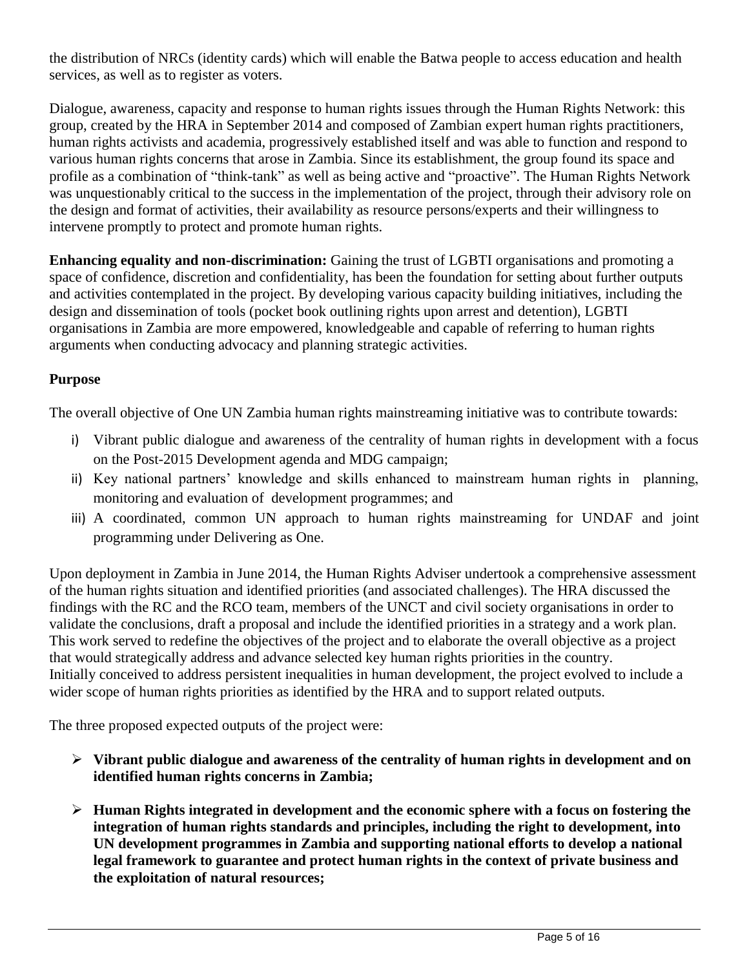the distribution of NRCs (identity cards) which will enable the Batwa people to access education and health services, as well as to register as voters.

Dialogue, awareness, capacity and response to human rights issues through the Human Rights Network: this group, created by the HRA in September 2014 and composed of Zambian expert human rights practitioners, human rights activists and academia, progressively established itself and was able to function and respond to various human rights concerns that arose in Zambia. Since its establishment, the group found its space and profile as a combination of "think-tank" as well as being active and "proactive". The Human Rights Network was unquestionably critical to the success in the implementation of the project, through their advisory role on the design and format of activities, their availability as resource persons/experts and their willingness to intervene promptly to protect and promote human rights.

**Enhancing equality and non-discrimination:** Gaining the trust of LGBTI organisations and promoting a space of confidence, discretion and confidentiality, has been the foundation for setting about further outputs and activities contemplated in the project. By developing various capacity building initiatives, including the design and dissemination of tools (pocket book outlining rights upon arrest and detention), LGBTI organisations in Zambia are more empowered, knowledgeable and capable of referring to human rights arguments when conducting advocacy and planning strategic activities.

# **Purpose**

The overall objective of One UN Zambia human rights mainstreaming initiative was to contribute towards:

- i) Vibrant public dialogue and awareness of the centrality of human rights in development with a focus on the Post-2015 Development agenda and MDG campaign;
- ii) Key national partners' knowledge and skills enhanced to mainstream human rights in planning, monitoring and evaluation of development programmes; and
- iii) A coordinated, common UN approach to human rights mainstreaming for UNDAF and joint programming under Delivering as One.

Upon deployment in Zambia in June 2014, the Human Rights Adviser undertook a comprehensive assessment of the human rights situation and identified priorities (and associated challenges). The HRA discussed the findings with the RC and the RCO team, members of the UNCT and civil society organisations in order to validate the conclusions, draft a proposal and include the identified priorities in a strategy and a work plan. This work served to redefine the objectives of the project and to elaborate the overall objective as a project that would strategically address and advance selected key human rights priorities in the country. Initially conceived to address persistent inequalities in human development, the project evolved to include a wider scope of human rights priorities as identified by the HRA and to support related outputs.

The three proposed expected outputs of the project were:

- **Vibrant public dialogue and awareness of the centrality of human rights in development and on identified human rights concerns in Zambia;**
- **Human Rights integrated in development and the economic sphere with a focus on fostering the integration of human rights standards and principles, including the right to development, into UN development programmes in Zambia and supporting national efforts to develop a national legal framework to guarantee and protect human rights in the context of private business and the exploitation of natural resources;**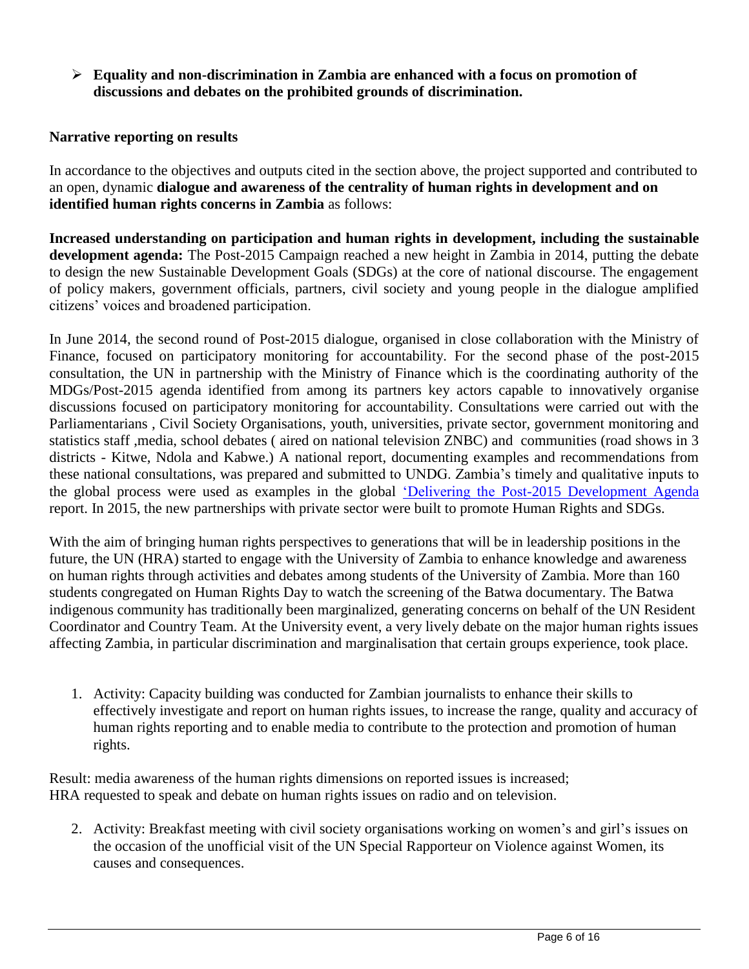**Equality and non-discrimination in Zambia are enhanced with a focus on promotion of discussions and debates on the prohibited grounds of discrimination.** 

# **Narrative reporting on results**

In accordance to the objectives and outputs cited in the section above, the project supported and contributed to an open, dynamic **dialogue and awareness of the centrality of human rights in development and on identified human rights concerns in Zambia** as follows:

**Increased understanding on participation and human rights in development, including the sustainable development agenda:** The Post-2015 Campaign reached a new height in Zambia in 2014, putting the debate to design the new Sustainable Development Goals (SDGs) at the core of national discourse. The engagement of policy makers, government officials, partners, civil society and young people in the dialogue amplified citizens' voices and broadened participation.

In June 2014, the second round of Post-2015 dialogue, organised in close collaboration with the Ministry of Finance, focused on participatory monitoring for accountability. For the second phase of the post-2015 consultation, the UN in partnership with the Ministry of Finance which is the coordinating authority of the MDGs/Post-2015 agenda identified from among its partners key actors capable to innovatively organise discussions focused on participatory monitoring for accountability. Consultations were carried out with the Parliamentarians , Civil Society Organisations, youth, universities, private sector, government monitoring and statistics staff ,media, school debates ( aired on national television ZNBC) and communities (road shows in 3 districts - Kitwe, Ndola and Kabwe.) A national report, documenting examples and recommendations from these national consultations, was prepared and submitted to UNDG. Zambia's timely and qualitative inputs to the global process were used as examples in the global ['Delivering the Post-2015 Development Agenda](http://www.undp.org/content/undp/en/home/librarypage/mdg/delivering-the-post-2015-development-agenda/) report. In 2015, the new partnerships with private sector were built to promote Human Rights and SDGs.

With the aim of bringing human rights perspectives to generations that will be in leadership positions in the future, the UN (HRA) started to engage with the University of Zambia to enhance knowledge and awareness on human rights through activities and debates among students of the University of Zambia. More than 160 students congregated on Human Rights Day to watch the screening of the Batwa documentary. The Batwa indigenous community has traditionally been marginalized, generating concerns on behalf of the UN Resident Coordinator and Country Team. At the University event, a very lively debate on the major human rights issues affecting Zambia, in particular discrimination and marginalisation that certain groups experience, took place.

1. Activity: Capacity building was conducted for Zambian journalists to enhance their skills to effectively investigate and report on human rights issues, to increase the range, quality and accuracy of human rights reporting and to enable media to contribute to the protection and promotion of human rights.

Result: media awareness of the human rights dimensions on reported issues is increased; HRA requested to speak and debate on human rights issues on radio and on television.

2. Activity: Breakfast meeting with civil society organisations working on women's and girl's issues on the occasion of the unofficial visit of the UN Special Rapporteur on Violence against Women, its causes and consequences.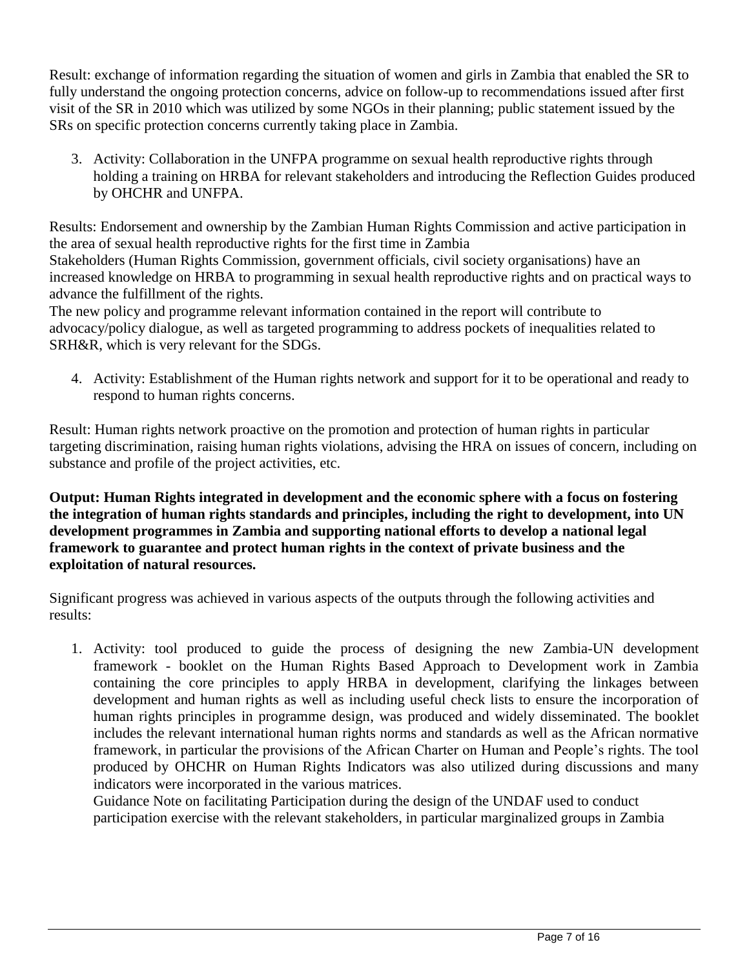Result: exchange of information regarding the situation of women and girls in Zambia that enabled the SR to fully understand the ongoing protection concerns, advice on follow-up to recommendations issued after first visit of the SR in 2010 which was utilized by some NGOs in their planning; public statement issued by the SRs on specific protection concerns currently taking place in Zambia.

3. Activity: Collaboration in the UNFPA programme on sexual health reproductive rights through holding a training on HRBA for relevant stakeholders and introducing the Reflection Guides produced by OHCHR and UNFPA.

Results: Endorsement and ownership by the Zambian Human Rights Commission and active participation in the area of sexual health reproductive rights for the first time in Zambia Stakeholders (Human Rights Commission, government officials, civil society organisations) have an increased knowledge on HRBA to programming in sexual health reproductive rights and on practical ways to advance the fulfillment of the rights.

The new policy and programme relevant information contained in the report will contribute to advocacy/policy dialogue, as well as targeted programming to address pockets of inequalities related to SRH&R, which is very relevant for the SDGs.

4. Activity: Establishment of the Human rights network and support for it to be operational and ready to respond to human rights concerns.

Result: Human rights network proactive on the promotion and protection of human rights in particular targeting discrimination, raising human rights violations, advising the HRA on issues of concern, including on substance and profile of the project activities, etc.

**Output: Human Rights integrated in development and the economic sphere with a focus on fostering the integration of human rights standards and principles, including the right to development, into UN development programmes in Zambia and supporting national efforts to develop a national legal framework to guarantee and protect human rights in the context of private business and the exploitation of natural resources.**

Significant progress was achieved in various aspects of the outputs through the following activities and results:

1. Activity: tool produced to guide the process of designing the new Zambia-UN development framework - booklet on the Human Rights Based Approach to Development work in Zambia containing the core principles to apply HRBA in development, clarifying the linkages between development and human rights as well as including useful check lists to ensure the incorporation of human rights principles in programme design, was produced and widely disseminated. The booklet includes the relevant international human rights norms and standards as well as the African normative framework, in particular the provisions of the African Charter on Human and People's rights. The tool produced by OHCHR on Human Rights Indicators was also utilized during discussions and many indicators were incorporated in the various matrices.

Guidance Note on facilitating Participation during the design of the UNDAF used to conduct participation exercise with the relevant stakeholders, in particular marginalized groups in Zambia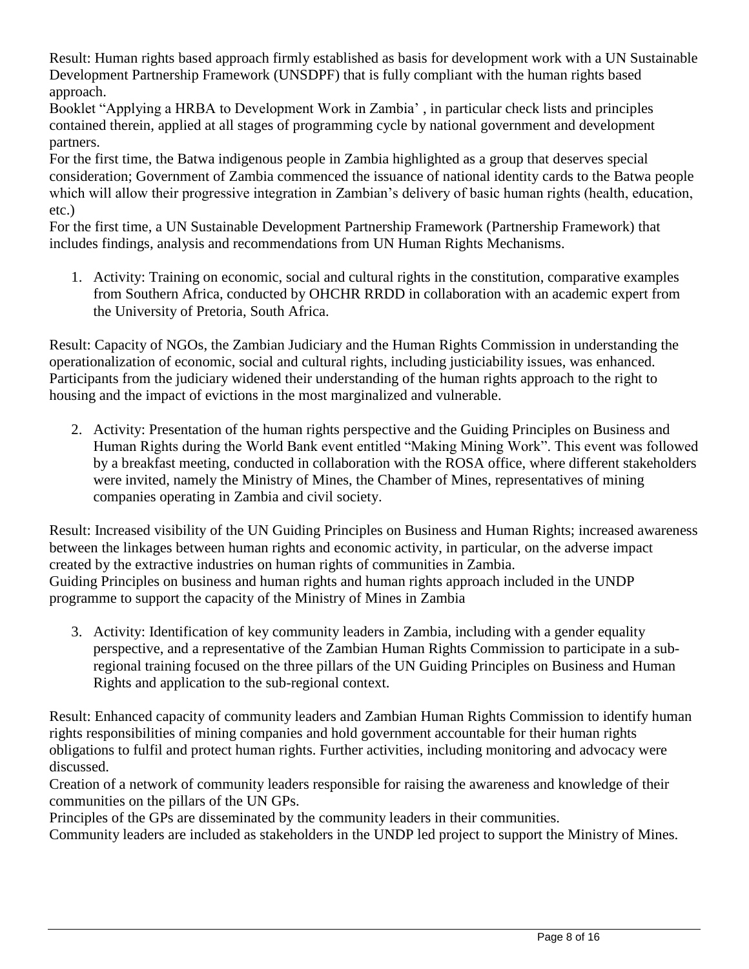Result: Human rights based approach firmly established as basis for development work with a UN Sustainable Development Partnership Framework (UNSDPF) that is fully compliant with the human rights based approach.

Booklet "Applying a HRBA to Development Work in Zambia' , in particular check lists and principles contained therein, applied at all stages of programming cycle by national government and development partners.

For the first time, the Batwa indigenous people in Zambia highlighted as a group that deserves special consideration; Government of Zambia commenced the issuance of national identity cards to the Batwa people which will allow their progressive integration in Zambian's delivery of basic human rights (health, education, etc.)

For the first time, a UN Sustainable Development Partnership Framework (Partnership Framework) that includes findings, analysis and recommendations from UN Human Rights Mechanisms.

1. Activity: Training on economic, social and cultural rights in the constitution, comparative examples from Southern Africa, conducted by OHCHR RRDD in collaboration with an academic expert from the University of Pretoria, South Africa.

Result: Capacity of NGOs, the Zambian Judiciary and the Human Rights Commission in understanding the operationalization of economic, social and cultural rights, including justiciability issues, was enhanced. Participants from the judiciary widened their understanding of the human rights approach to the right to housing and the impact of evictions in the most marginalized and vulnerable.

2. Activity: Presentation of the human rights perspective and the Guiding Principles on Business and Human Rights during the World Bank event entitled "Making Mining Work". This event was followed by a breakfast meeting, conducted in collaboration with the ROSA office, where different stakeholders were invited, namely the Ministry of Mines, the Chamber of Mines, representatives of mining companies operating in Zambia and civil society.

Result: Increased visibility of the UN Guiding Principles on Business and Human Rights; increased awareness between the linkages between human rights and economic activity, in particular, on the adverse impact created by the extractive industries on human rights of communities in Zambia. Guiding Principles on business and human rights and human rights approach included in the UNDP programme to support the capacity of the Ministry of Mines in Zambia

3. Activity: Identification of key community leaders in Zambia, including with a gender equality perspective, and a representative of the Zambian Human Rights Commission to participate in a subregional training focused on the three pillars of the UN Guiding Principles on Business and Human Rights and application to the sub-regional context.

Result: Enhanced capacity of community leaders and Zambian Human Rights Commission to identify human rights responsibilities of mining companies and hold government accountable for their human rights obligations to fulfil and protect human rights. Further activities, including monitoring and advocacy were discussed.

Creation of a network of community leaders responsible for raising the awareness and knowledge of their communities on the pillars of the UN GPs.

Principles of the GPs are disseminated by the community leaders in their communities.

Community leaders are included as stakeholders in the UNDP led project to support the Ministry of Mines.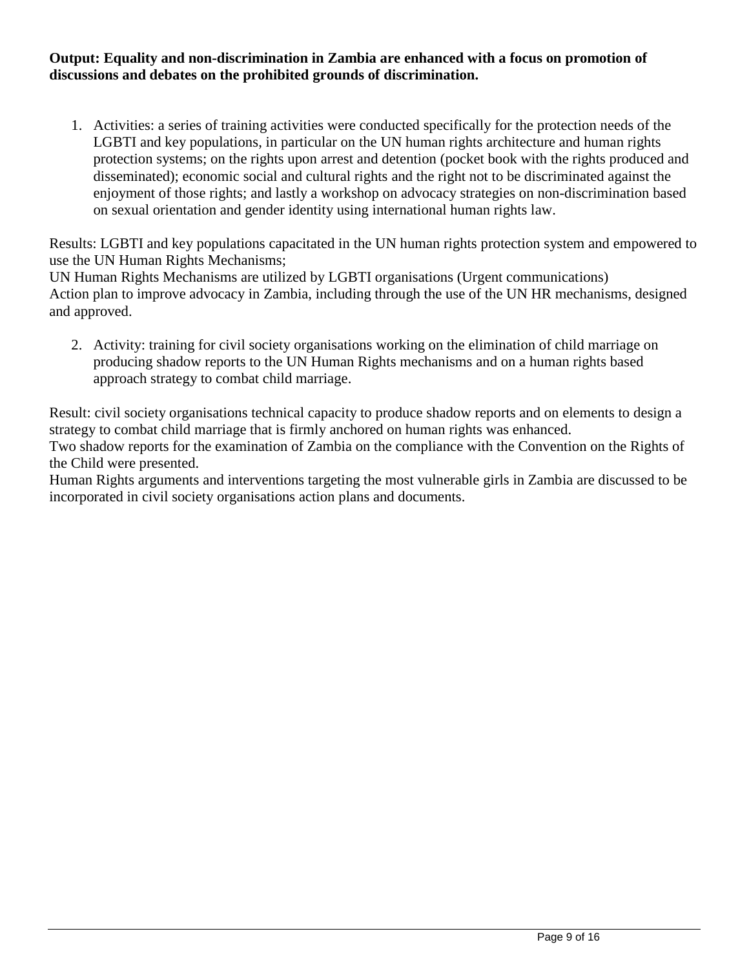#### **Output: Equality and non-discrimination in Zambia are enhanced with a focus on promotion of discussions and debates on the prohibited grounds of discrimination.**

1. Activities: a series of training activities were conducted specifically for the protection needs of the LGBTI and key populations, in particular on the UN human rights architecture and human rights protection systems; on the rights upon arrest and detention (pocket book with the rights produced and disseminated); economic social and cultural rights and the right not to be discriminated against the enjoyment of those rights; and lastly a workshop on advocacy strategies on non-discrimination based on sexual orientation and gender identity using international human rights law.

Results: LGBTI and key populations capacitated in the UN human rights protection system and empowered to use the UN Human Rights Mechanisms;

UN Human Rights Mechanisms are utilized by LGBTI organisations (Urgent communications) Action plan to improve advocacy in Zambia, including through the use of the UN HR mechanisms, designed and approved.

2. Activity: training for civil society organisations working on the elimination of child marriage on producing shadow reports to the UN Human Rights mechanisms and on a human rights based approach strategy to combat child marriage.

Result: civil society organisations technical capacity to produce shadow reports and on elements to design a strategy to combat child marriage that is firmly anchored on human rights was enhanced. Two shadow reports for the examination of Zambia on the compliance with the Convention on the Rights of the Child were presented.

Human Rights arguments and interventions targeting the most vulnerable girls in Zambia are discussed to be incorporated in civil society organisations action plans and documents.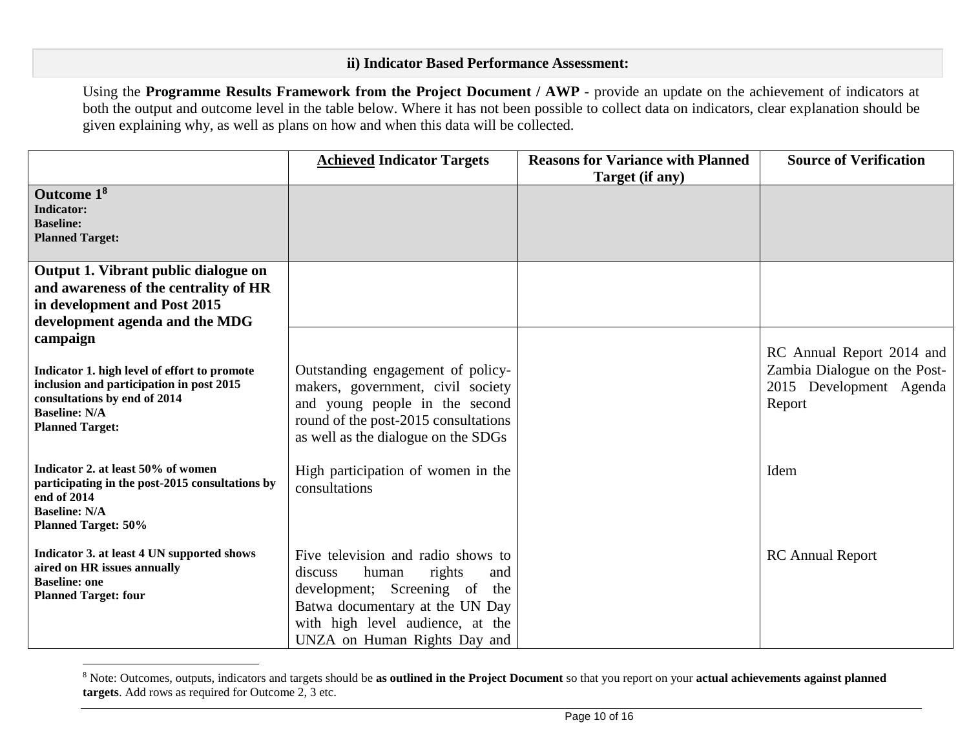# **ii) Indicator Based Performance Assessment:**

Using the **Programme Results Framework from the Project Document / AWP** - provide an update on the achievement of indicators at both the output and outcome level in the table below. Where it has not been possible to collect data on indicators, clear explanation should be given explaining why, as well as plans on how and when this data will be collected.

|                                                                                                                                                                                        | <b>Achieved Indicator Targets</b>                                                                                                                                                                                  | <b>Reasons for Variance with Planned</b><br>Target (if any) | <b>Source of Verification</b>                                                                  |
|----------------------------------------------------------------------------------------------------------------------------------------------------------------------------------------|--------------------------------------------------------------------------------------------------------------------------------------------------------------------------------------------------------------------|-------------------------------------------------------------|------------------------------------------------------------------------------------------------|
| Outcome 1 <sup>8</sup><br><b>Indicator:</b><br><b>Baseline:</b><br><b>Planned Target:</b>                                                                                              |                                                                                                                                                                                                                    |                                                             |                                                                                                |
| Output 1. Vibrant public dialogue on<br>and awareness of the centrality of HR<br>in development and Post 2015<br>development agenda and the MDG                                        |                                                                                                                                                                                                                    |                                                             |                                                                                                |
| campaign<br>Indicator 1. high level of effort to promote<br>inclusion and participation in post 2015<br>consultations by end of 2014<br><b>Baseline: N/A</b><br><b>Planned Target:</b> | Outstanding engagement of policy-<br>makers, government, civil society<br>and young people in the second<br>round of the post-2015 consultations<br>as well as the dialogue on the SDGs                            |                                                             | RC Annual Report 2014 and<br>Zambia Dialogue on the Post-<br>2015 Development Agenda<br>Report |
| Indicator 2. at least 50% of women<br>participating in the post-2015 consultations by<br>end of 2014<br><b>Baseline: N/A</b><br><b>Planned Target: 50%</b>                             | High participation of women in the<br>consultations                                                                                                                                                                |                                                             | Idem                                                                                           |
| Indicator 3. at least 4 UN supported shows<br>aired on HR issues annually<br><b>Baseline: one</b><br><b>Planned Target: four</b>                                                       | Five television and radio shows to<br>human<br>rights<br>discuss<br>and<br>development; Screening of<br>the<br>Batwa documentary at the UN Day<br>with high level audience, at the<br>UNZA on Human Rights Day and |                                                             | <b>RC</b> Annual Report                                                                        |

<sup>8</sup> Note: Outcomes, outputs, indicators and targets should be **as outlined in the Project Document** so that you report on your **actual achievements against planned targets**. Add rows as required for Outcome 2, 3 etc.

 $\overline{a}$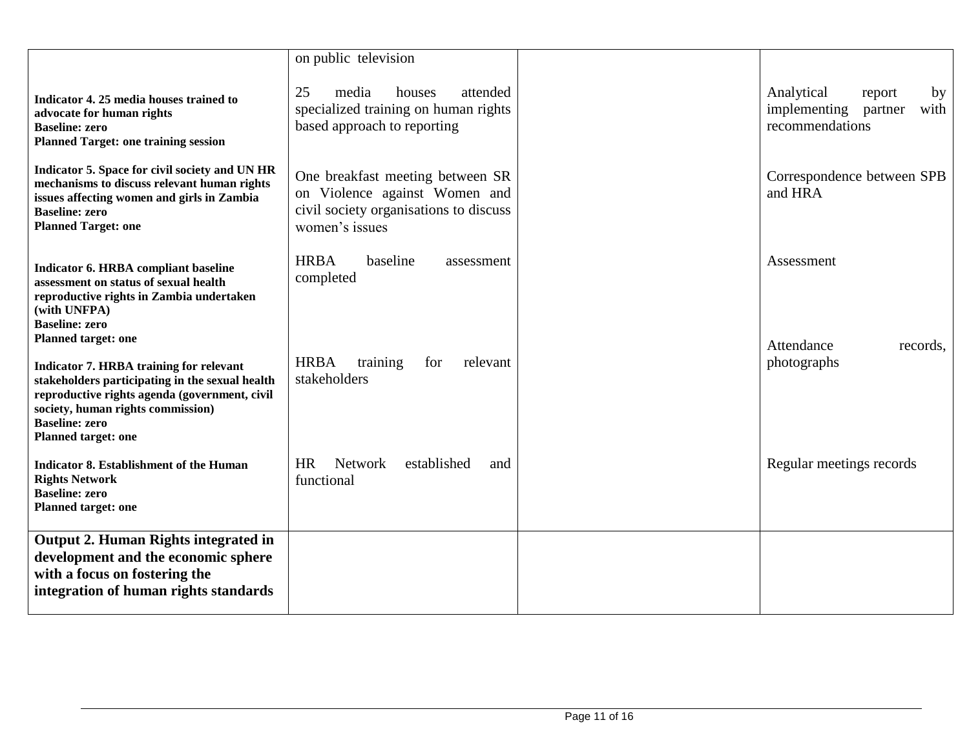|                                                                                                                                                                                                                                                                              | on public television                                                                                                          |                                                                                  |
|------------------------------------------------------------------------------------------------------------------------------------------------------------------------------------------------------------------------------------------------------------------------------|-------------------------------------------------------------------------------------------------------------------------------|----------------------------------------------------------------------------------|
| Indicator 4. 25 media houses trained to<br>advocate for human rights<br><b>Baseline: zero</b><br><b>Planned Target: one training session</b>                                                                                                                                 | 25<br>media<br>houses<br>attended<br>specialized training on human rights<br>based approach to reporting                      | Analytical<br>report<br>by<br>implementing<br>partner<br>with<br>recommendations |
| Indicator 5. Space for civil society and UN HR<br>mechanisms to discuss relevant human rights<br>issues affecting women and girls in Zambia<br><b>Baseline: zero</b><br><b>Planned Target: one</b>                                                                           | One breakfast meeting between SR<br>on Violence against Women and<br>civil society organisations to discuss<br>women's issues | Correspondence between SPB<br>and HRA                                            |
| Indicator 6. HRBA compliant baseline<br>assessment on status of sexual health<br>reproductive rights in Zambia undertaken<br>(with UNFPA)<br><b>Baseline: zero</b>                                                                                                           | <b>HRBA</b><br>baseline<br>assessment<br>completed                                                                            | Assessment                                                                       |
| <b>Planned target: one</b><br><b>Indicator 7. HRBA training for relevant</b><br>stakeholders participating in the sexual health<br>reproductive rights agenda (government, civil<br>society, human rights commission)<br><b>Baseline: zero</b><br><b>Planned target: one</b> | <b>HRBA</b><br>training<br>relevant<br>for<br>stakeholders                                                                    | Attendance<br>records.<br>photographs                                            |
| <b>Indicator 8. Establishment of the Human</b><br><b>Rights Network</b><br><b>Baseline: zero</b><br><b>Planned target: one</b>                                                                                                                                               | <b>HR</b><br><b>Network</b><br>established<br>and<br>functional                                                               | Regular meetings records                                                         |
| Output 2. Human Rights integrated in<br>development and the economic sphere<br>with a focus on fostering the<br>integration of human rights standards                                                                                                                        |                                                                                                                               |                                                                                  |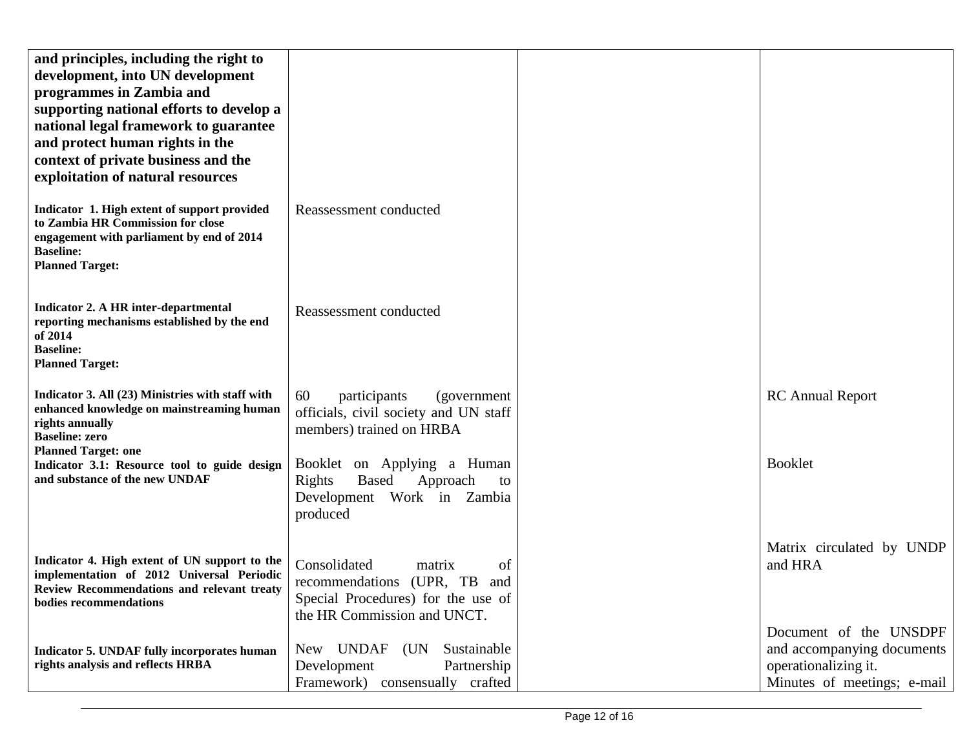| and principles, including the right to<br>development, into UN development<br>programmes in Zambia and<br>supporting national efforts to develop a<br>national legal framework to guarantee<br>and protect human rights in the<br>context of private business and the<br>exploitation of natural resources |                                                                                                                                      |                                                                                                             |
|------------------------------------------------------------------------------------------------------------------------------------------------------------------------------------------------------------------------------------------------------------------------------------------------------------|--------------------------------------------------------------------------------------------------------------------------------------|-------------------------------------------------------------------------------------------------------------|
| Indicator 1. High extent of support provided<br>to Zambia HR Commission for close<br>engagement with parliament by end of 2014<br><b>Baseline:</b><br><b>Planned Target:</b>                                                                                                                               | Reassessment conducted                                                                                                               |                                                                                                             |
| <b>Indicator 2. A HR inter-departmental</b><br>reporting mechanisms established by the end<br>of 2014<br><b>Baseline:</b><br><b>Planned Target:</b>                                                                                                                                                        | Reassessment conducted                                                                                                               |                                                                                                             |
| Indicator 3. All (23) Ministries with staff with<br>enhanced knowledge on mainstreaming human<br>rights annually<br><b>Baseline: zero</b>                                                                                                                                                                  | 60<br>participants<br>(government)<br>officials, civil society and UN staff<br>members) trained on HRBA                              | <b>RC</b> Annual Report                                                                                     |
| <b>Planned Target: one</b><br>Indicator 3.1: Resource tool to guide design<br>and substance of the new UNDAF                                                                                                                                                                                               | Booklet on Applying a Human<br>Approach<br>Rights<br><b>Based</b><br>to<br>Development Work in Zambia<br>produced                    | <b>Booklet</b>                                                                                              |
| Indicator 4. High extent of UN support to the<br>implementation of 2012 Universal Periodic<br>Review Recommendations and relevant treaty<br>bodies recommendations                                                                                                                                         | Consolidated<br>of<br>matrix<br>recommendations (UPR, TB<br>and<br>Special Procedures) for the use of<br>the HR Commission and UNCT. | Matrix circulated by UNDP<br>and HRA                                                                        |
| Indicator 5. UNDAF fully incorporates human<br>rights analysis and reflects HRBA                                                                                                                                                                                                                           | New UNDAF (UN Sustainable<br>Partnership<br>Development<br>Framework) consensually crafted                                           | Document of the UNSDPF<br>and accompanying documents<br>operationalizing it.<br>Minutes of meetings; e-mail |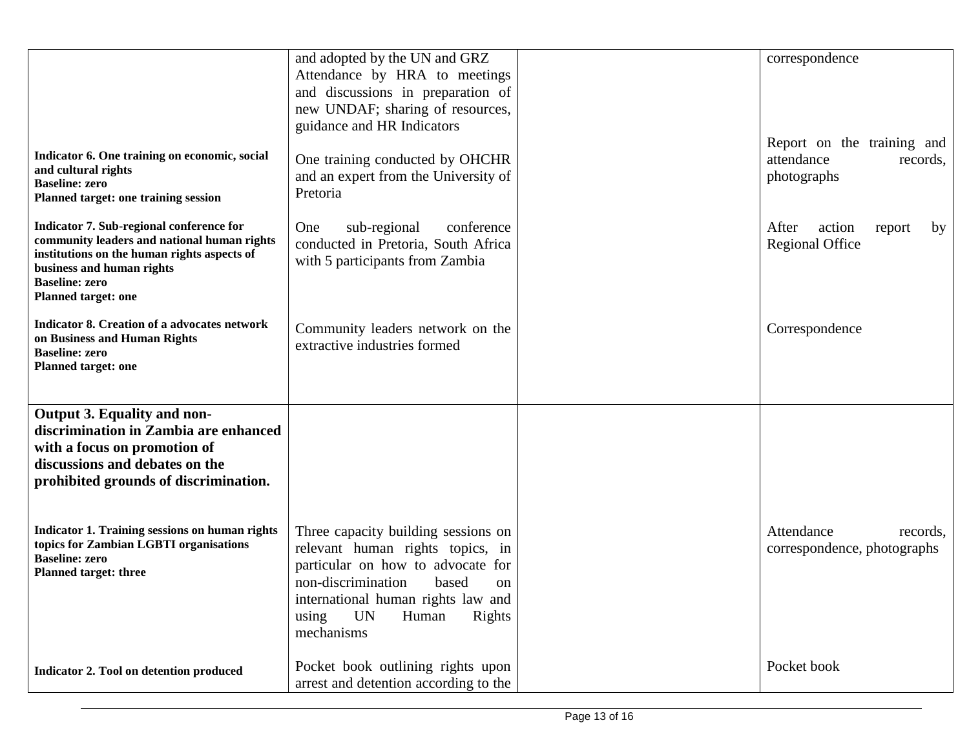|                                                                          | and adopted by the UN and GRZ                                         | correspondence                  |
|--------------------------------------------------------------------------|-----------------------------------------------------------------------|---------------------------------|
|                                                                          | Attendance by HRA to meetings                                         |                                 |
|                                                                          | and discussions in preparation of<br>new UNDAF; sharing of resources, |                                 |
|                                                                          | guidance and HR Indicators                                            |                                 |
|                                                                          |                                                                       | Report on the training and      |
| Indicator 6. One training on economic, social<br>and cultural rights     | One training conducted by OHCHR                                       | attendance<br>records,          |
| <b>Baseline: zero</b>                                                    | and an expert from the University of                                  | photographs                     |
| Planned target: one training session                                     | Pretoria                                                              |                                 |
| Indicator 7. Sub-regional conference for                                 | sub-regional<br>conference<br>One                                     | After<br>action<br>report<br>by |
| community leaders and national human rights                              | conducted in Pretoria, South Africa                                   | <b>Regional Office</b>          |
| institutions on the human rights aspects of<br>business and human rights | with 5 participants from Zambia                                       |                                 |
| <b>Baseline: zero</b>                                                    |                                                                       |                                 |
| <b>Planned target: one</b>                                               |                                                                       |                                 |
| <b>Indicator 8. Creation of a advocates network</b>                      | Community leaders network on the                                      | Correspondence                  |
| on Business and Human Rights<br><b>Baseline: zero</b>                    | extractive industries formed                                          |                                 |
| <b>Planned target: one</b>                                               |                                                                       |                                 |
|                                                                          |                                                                       |                                 |
| Output 3. Equality and non-                                              |                                                                       |                                 |
| discrimination in Zambia are enhanced                                    |                                                                       |                                 |
| with a focus on promotion of                                             |                                                                       |                                 |
| discussions and debates on the                                           |                                                                       |                                 |
| prohibited grounds of discrimination.                                    |                                                                       |                                 |
|                                                                          |                                                                       |                                 |
| <b>Indicator 1. Training sessions on human rights</b>                    | Three capacity building sessions on                                   | Attendance<br>records,          |
| topics for Zambian LGBTI organisations<br><b>Baseline: zero</b>          | relevant human rights topics, in                                      | correspondence, photographs     |
| <b>Planned target: three</b>                                             | particular on how to advocate for<br>non-discrimination<br>based      |                                 |
|                                                                          | on<br>international human rights law and                              |                                 |
|                                                                          | <b>UN</b><br>Human<br>Rights<br>using                                 |                                 |
|                                                                          | mechanisms                                                            |                                 |
|                                                                          |                                                                       |                                 |
| <b>Indicator 2. Tool on detention produced</b>                           | Pocket book outlining rights upon                                     | Pocket book                     |
|                                                                          | arrest and detention according to the                                 |                                 |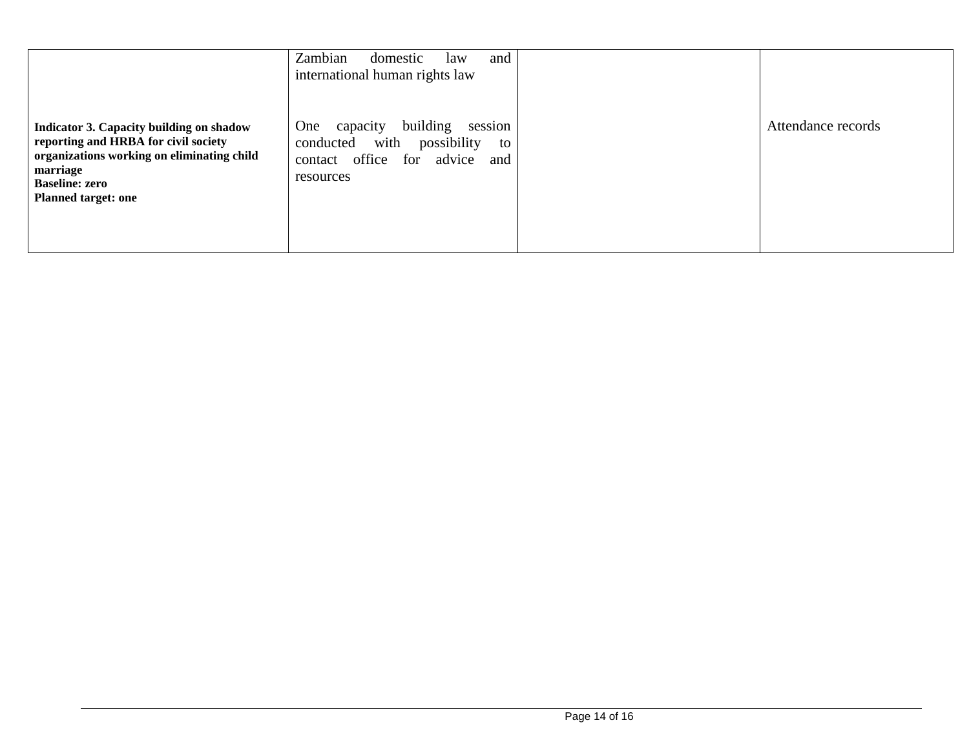|                                                                                                                                                                                                          | Zambian<br>and<br>domestic<br>law<br>international human rights law                                                                        |                    |
|----------------------------------------------------------------------------------------------------------------------------------------------------------------------------------------------------------|--------------------------------------------------------------------------------------------------------------------------------------------|--------------------|
| <b>Indicator 3. Capacity building on shadow</b><br>reporting and HRBA for civil society<br>organizations working on eliminating child<br>marriage<br><b>Baseline: zero</b><br><b>Planned target: one</b> | session<br>building<br>One<br>capacity<br>with<br>possibility<br>conducted<br>to<br>office<br>for<br>advice<br>and<br>contact<br>resources | Attendance records |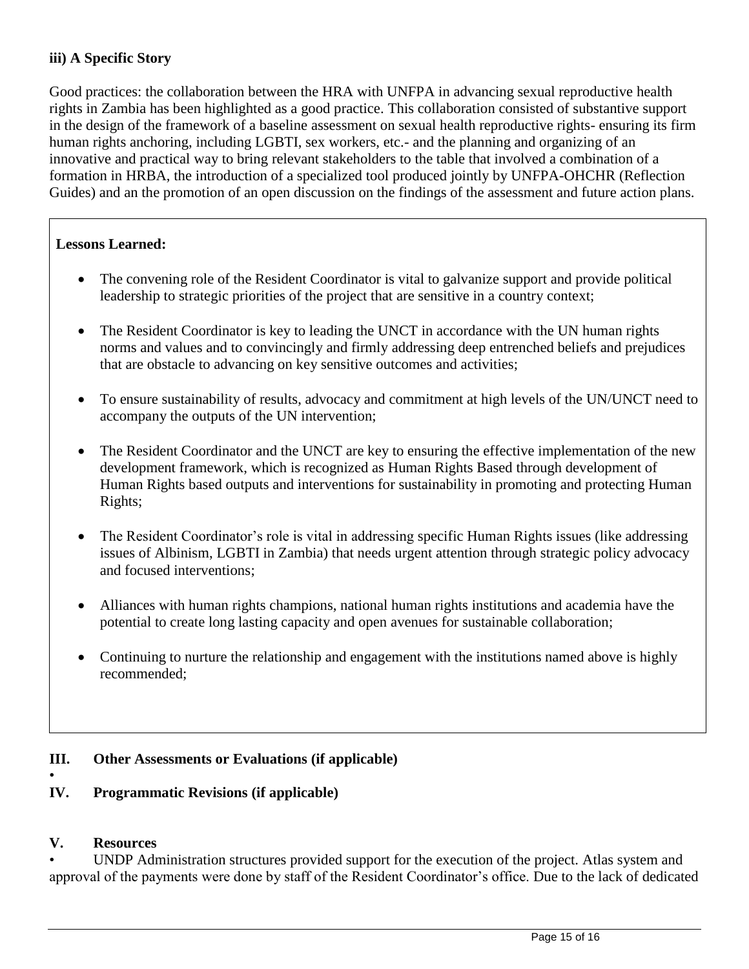# **iii) A Specific Story**

Good practices: the collaboration between the HRA with UNFPA in advancing sexual reproductive health rights in Zambia has been highlighted as a good practice. This collaboration consisted of substantive support in the design of the framework of a baseline assessment on sexual health reproductive rights- ensuring its firm human rights anchoring, including LGBTI, sex workers, etc.- and the planning and organizing of an innovative and practical way to bring relevant stakeholders to the table that involved a combination of a formation in HRBA, the introduction of a specialized tool produced jointly by UNFPA-OHCHR (Reflection Guides) and an the promotion of an open discussion on the findings of the assessment and future action plans.

# **Lessons Learned:**

- The convening role of the Resident Coordinator is vital to galvanize support and provide political leadership to strategic priorities of the project that are sensitive in a country context;
- The Resident Coordinator is key to leading the UNCT in accordance with the UN human rights norms and values and to convincingly and firmly addressing deep entrenched beliefs and prejudices that are obstacle to advancing on key sensitive outcomes and activities;
- To ensure sustainability of results, advocacy and commitment at high levels of the UN/UNCT need to accompany the outputs of the UN intervention;
- The Resident Coordinator and the UNCT are key to ensuring the effective implementation of the new development framework, which is recognized as Human Rights Based through development of Human Rights based outputs and interventions for sustainability in promoting and protecting Human Rights;
- The Resident Coordinator's role is vital in addressing specific Human Rights issues (like addressing issues of Albinism, LGBTI in Zambia) that needs urgent attention through strategic policy advocacy and focused interventions;
- Alliances with human rights champions, national human rights institutions and academia have the potential to create long lasting capacity and open avenues for sustainable collaboration;
- Continuing to nurture the relationship and engagement with the institutions named above is highly recommended;

# **III. Other Assessments or Evaluations (if applicable)**

# **IV. Programmatic Revisions (if applicable)**

# **V. Resources**

•

UNDP Administration structures provided support for the execution of the project. Atlas system and approval of the payments were done by staff of the Resident Coordinator's office. Due to the lack of dedicated